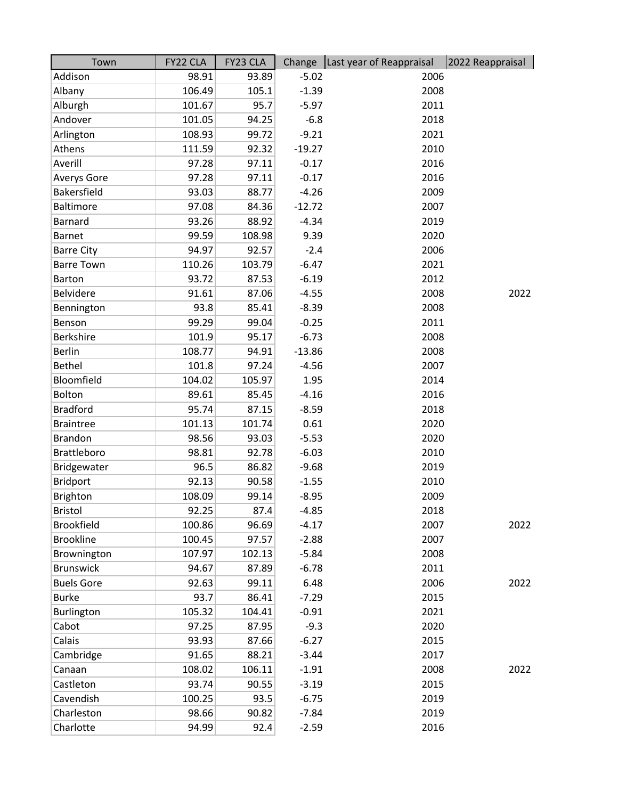| Town              | FY22 CLA | FY23 CLA |          | Change   Last year of Reappraisal | 2022 Reappraisal |
|-------------------|----------|----------|----------|-----------------------------------|------------------|
| Addison           | 98.91    | 93.89    | $-5.02$  | 2006                              |                  |
| Albany            | 106.49   | 105.1    | $-1.39$  | 2008                              |                  |
| Alburgh           | 101.67   | 95.7     | $-5.97$  | 2011                              |                  |
| Andover           | 101.05   | 94.25    | $-6.8$   | 2018                              |                  |
| Arlington         | 108.93   | 99.72    | $-9.21$  | 2021                              |                  |
| Athens            | 111.59   | 92.32    | $-19.27$ | 2010                              |                  |
| Averill           | 97.28    | 97.11    | $-0.17$  | 2016                              |                  |
| Averys Gore       | 97.28    | 97.11    | $-0.17$  | 2016                              |                  |
| Bakersfield       | 93.03    | 88.77    | $-4.26$  | 2009                              |                  |
| Baltimore         | 97.08    | 84.36    | $-12.72$ | 2007                              |                  |
| <b>Barnard</b>    | 93.26    | 88.92    | $-4.34$  | 2019                              |                  |
| <b>Barnet</b>     | 99.59    | 108.98   | 9.39     | 2020                              |                  |
| <b>Barre City</b> | 94.97    | 92.57    | $-2.4$   | 2006                              |                  |
| <b>Barre Town</b> | 110.26   | 103.79   | $-6.47$  | 2021                              |                  |
| <b>Barton</b>     | 93.72    | 87.53    | $-6.19$  | 2012                              |                  |
| Belvidere         | 91.61    | 87.06    | $-4.55$  | 2008                              | 2022             |
| Bennington        | 93.8     | 85.41    | $-8.39$  | 2008                              |                  |
| Benson            | 99.29    | 99.04    | $-0.25$  | 2011                              |                  |
| Berkshire         | 101.9    | 95.17    | $-6.73$  | 2008                              |                  |
| <b>Berlin</b>     | 108.77   | 94.91    | $-13.86$ | 2008                              |                  |
| <b>Bethel</b>     | 101.8    | 97.24    | $-4.56$  | 2007                              |                  |
| Bloomfield        | 104.02   | 105.97   | 1.95     | 2014                              |                  |
| Bolton            | 89.61    | 85.45    | $-4.16$  | 2016                              |                  |
| <b>Bradford</b>   | 95.74    | 87.15    | $-8.59$  | 2018                              |                  |
| <b>Braintree</b>  | 101.13   | 101.74   | 0.61     | 2020                              |                  |
| <b>Brandon</b>    | 98.56    | 93.03    | $-5.53$  | 2020                              |                  |
| Brattleboro       | 98.81    | 92.78    | $-6.03$  | 2010                              |                  |
| Bridgewater       | 96.5     | 86.82    | $-9.68$  | 2019                              |                  |
| <b>Bridport</b>   | 92.13    | 90.58    | $-1.55$  | 2010                              |                  |
| Brighton          | 108.09   | 99.14    | $-8.95$  | 2009                              |                  |
| <b>Bristol</b>    | 92.25    | 87.4     | $-4.85$  | 2018                              |                  |
| <b>Brookfield</b> | 100.86   | 96.69    | $-4.17$  | 2007                              | 2022             |
| <b>Brookline</b>  | 100.45   | 97.57    | $-2.88$  | 2007                              |                  |
| Brownington       | 107.97   | 102.13   | $-5.84$  | 2008                              |                  |
| <b>Brunswick</b>  | 94.67    | 87.89    | $-6.78$  | 2011                              |                  |
| <b>Buels Gore</b> | 92.63    | 99.11    | 6.48     | 2006                              | 2022             |
| <b>Burke</b>      | 93.7     | 86.41    | $-7.29$  | 2015                              |                  |
| Burlington        | 105.32   | 104.41   | $-0.91$  | 2021                              |                  |
| Cabot             | 97.25    | 87.95    | $-9.3$   | 2020                              |                  |
| Calais            | 93.93    | 87.66    | $-6.27$  | 2015                              |                  |
| Cambridge         | 91.65    | 88.21    | $-3.44$  | 2017                              |                  |
| Canaan            | 108.02   | 106.11   | $-1.91$  | 2008                              | 2022             |
| Castleton         | 93.74    | 90.55    | $-3.19$  | 2015                              |                  |
| Cavendish         | 100.25   | 93.5     | $-6.75$  | 2019                              |                  |
| Charleston        | 98.66    | 90.82    | $-7.84$  | 2019                              |                  |
| Charlotte         | 94.99    | 92.4     | $-2.59$  | 2016                              |                  |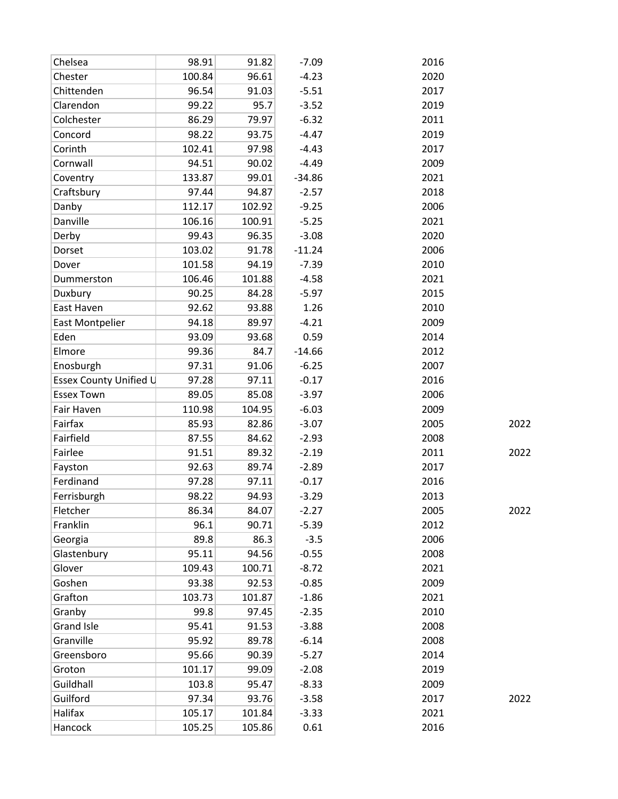| Chelsea                | 98.91  | 91.82  | $-7.09$  | 2016 |      |
|------------------------|--------|--------|----------|------|------|
| Chester                | 100.84 | 96.61  | $-4.23$  | 2020 |      |
| Chittenden             | 96.54  | 91.03  | $-5.51$  | 2017 |      |
| Clarendon              | 99.22  | 95.7   | $-3.52$  | 2019 |      |
| Colchester             | 86.29  | 79.97  | $-6.32$  | 2011 |      |
| Concord                | 98.22  | 93.75  | $-4.47$  | 2019 |      |
| Corinth                | 102.41 | 97.98  | $-4.43$  | 2017 |      |
| Cornwall               | 94.51  | 90.02  | $-4.49$  | 2009 |      |
| Coventry               | 133.87 | 99.01  | $-34.86$ | 2021 |      |
| Craftsbury             | 97.44  | 94.87  | $-2.57$  | 2018 |      |
| Danby                  | 112.17 | 102.92 | $-9.25$  | 2006 |      |
| Danville               | 106.16 | 100.91 | $-5.25$  | 2021 |      |
| Derby                  | 99.43  | 96.35  | $-3.08$  | 2020 |      |
| Dorset                 | 103.02 | 91.78  | $-11.24$ | 2006 |      |
| Dover                  | 101.58 | 94.19  | $-7.39$  | 2010 |      |
| Dummerston             | 106.46 | 101.88 | $-4.58$  | 2021 |      |
| Duxbury                | 90.25  | 84.28  | $-5.97$  | 2015 |      |
| East Haven             | 92.62  | 93.88  | 1.26     | 2010 |      |
| East Montpelier        | 94.18  | 89.97  | $-4.21$  | 2009 |      |
| Eden                   | 93.09  | 93.68  | 0.59     | 2014 |      |
| Elmore                 | 99.36  | 84.7   | $-14.66$ | 2012 |      |
| Enosburgh              | 97.31  | 91.06  | $-6.25$  | 2007 |      |
| Essex County Unified U | 97.28  | 97.11  | $-0.17$  | 2016 |      |
| <b>Essex Town</b>      | 89.05  | 85.08  | $-3.97$  | 2006 |      |
| Fair Haven             | 110.98 | 104.95 | $-6.03$  | 2009 |      |
| Fairfax                | 85.93  | 82.86  | $-3.07$  | 2005 | 2022 |
| Fairfield              | 87.55  | 84.62  | $-2.93$  | 2008 |      |
| Fairlee                | 91.51  | 89.32  | $-2.19$  | 2011 | 2022 |
| Fayston                | 92.63  | 89.74  | $-2.89$  | 2017 |      |
| Ferdinand              | 97.28  | 97.11  | $-0.17$  | 2016 |      |
| Ferrisburgh            | 98.22  | 94.93  | $-3.29$  | 2013 |      |
| Fletcher               | 86.34  | 84.07  | $-2.27$  | 2005 | 2022 |
| Franklin               | 96.1   | 90.71  | $-5.39$  | 2012 |      |
| Georgia                | 89.8   | 86.3   | $-3.5$   | 2006 |      |
| Glastenbury            | 95.11  | 94.56  | $-0.55$  | 2008 |      |
| Glover                 | 109.43 | 100.71 | $-8.72$  | 2021 |      |
| Goshen                 | 93.38  | 92.53  | $-0.85$  | 2009 |      |
| Grafton                | 103.73 | 101.87 | $-1.86$  | 2021 |      |
| Granby                 | 99.8   | 97.45  | $-2.35$  | 2010 |      |
| Grand Isle             | 95.41  | 91.53  | $-3.88$  | 2008 |      |
| Granville              | 95.92  | 89.78  | $-6.14$  | 2008 |      |
| Greensboro             | 95.66  | 90.39  | $-5.27$  | 2014 |      |
| Groton                 | 101.17 | 99.09  | $-2.08$  | 2019 |      |
| Guildhall              | 103.8  | 95.47  | $-8.33$  | 2009 |      |
| Guilford               | 97.34  | 93.76  | $-3.58$  | 2017 | 2022 |
| Halifax                | 105.17 | 101.84 | $-3.33$  | 2021 |      |
| Hancock                | 105.25 | 105.86 | 0.61     | 2016 |      |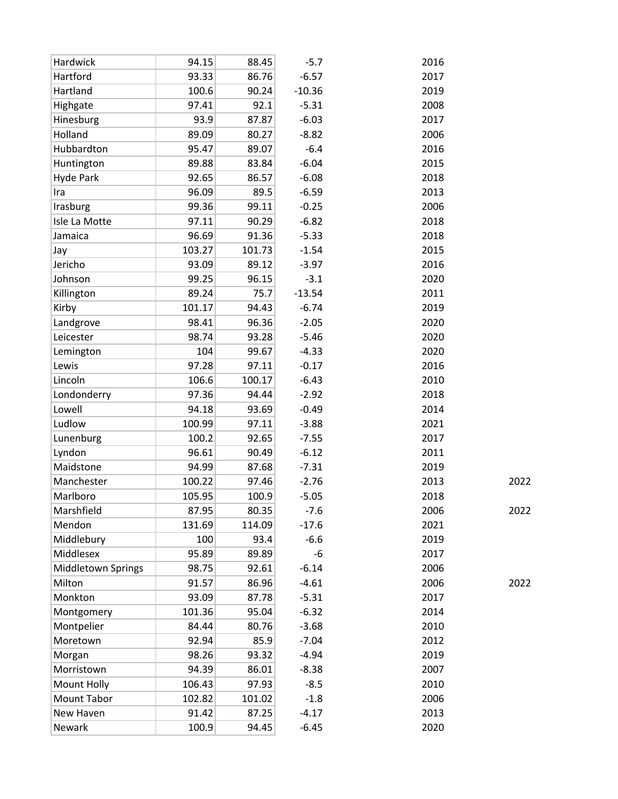| Hardwick                  | 94.15  | 88.45  | $-5.7$   | 2016         |
|---------------------------|--------|--------|----------|--------------|
| Hartford                  | 93.33  | 86.76  | $-6.57$  | 2017         |
| Hartland                  | 100.6  | 90.24  | $-10.36$ | 2019         |
| Highgate                  | 97.41  | 92.1   | $-5.31$  | 2008         |
| Hinesburg                 | 93.9   | 87.87  | $-6.03$  | 2017         |
| Holland                   | 89.09  | 80.27  | $-8.82$  | 2006         |
| Hubbardton                | 95.47  | 89.07  | $-6.4$   | 2016         |
| Huntington                | 89.88  | 83.84  | $-6.04$  | 2015         |
| <b>Hyde Park</b>          | 92.65  | 86.57  | $-6.08$  | 2018         |
| Ira                       | 96.09  | 89.5   | $-6.59$  | 2013         |
| Irasburg                  | 99.36  | 99.11  | $-0.25$  | 2006         |
| Isle La Motte             | 97.11  | 90.29  | $-6.82$  | 2018         |
| Jamaica                   | 96.69  | 91.36  | $-5.33$  | 2018         |
| Jay                       | 103.27 | 101.73 | $-1.54$  | 2015         |
| Jericho                   | 93.09  | 89.12  | $-3.97$  | 2016         |
| Johnson                   | 99.25  | 96.15  | $-3.1$   | 2020         |
| Killington                | 89.24  | 75.7   | $-13.54$ | 2011         |
| Kirby                     | 101.17 | 94.43  | $-6.74$  | 2019         |
| Landgrove                 | 98.41  | 96.36  | $-2.05$  | 2020         |
| Leicester                 | 98.74  | 93.28  | $-5.46$  | 2020         |
| Lemington                 | 104    | 99.67  | $-4.33$  | 2020         |
| Lewis                     | 97.28  | 97.11  | $-0.17$  | 2016         |
| Lincoln                   | 106.6  | 100.17 | $-6.43$  | 2010         |
| Londonderry               | 97.36  | 94.44  | $-2.92$  | 2018         |
| Lowell                    | 94.18  | 93.69  | $-0.49$  | 2014         |
| Ludlow                    | 100.99 | 97.11  | $-3.88$  | 2021         |
| Lunenburg                 | 100.2  | 92.65  | $-7.55$  | 2017         |
| Lyndon                    | 96.61  | 90.49  | $-6.12$  | 2011         |
| Maidstone                 | 94.99  | 87.68  | $-7.31$  | 2019         |
| Manchester                | 100.22 | 97.46  | $-2.76$  | 2013<br>2022 |
| Marlboro                  | 105.95 | 100.9  | $-5.05$  | 2018         |
| Marshfield                | 87.95  | 80.35  | $-7.6$   | 2006<br>2022 |
| Mendon                    | 131.69 | 114.09 | $-17.6$  | 2021         |
| Middlebury                | 100    | 93.4   | $-6.6$   | 2019         |
| Middlesex                 | 95.89  | 89.89  | -6       | 2017         |
| <b>Middletown Springs</b> | 98.75  | 92.61  | $-6.14$  | 2006         |
| Milton                    | 91.57  | 86.96  | $-4.61$  | 2006<br>2022 |
| Monkton                   | 93.09  | 87.78  | $-5.31$  | 2017         |
| Montgomery                | 101.36 | 95.04  | $-6.32$  | 2014         |
| Montpelier                | 84.44  | 80.76  | $-3.68$  | 2010         |
| Moretown                  | 92.94  | 85.9   | $-7.04$  | 2012         |
| Morgan                    | 98.26  | 93.32  | $-4.94$  | 2019         |
| Morristown                | 94.39  | 86.01  | $-8.38$  | 2007         |
| Mount Holly               | 106.43 | 97.93  | $-8.5$   | 2010         |
| Mount Tabor               | 102.82 | 101.02 | $-1.8$   | 2006         |
| New Haven                 | 91.42  | 87.25  | $-4.17$  | 2013         |
| Newark                    | 100.9  | 94.45  | $-6.45$  | 2020         |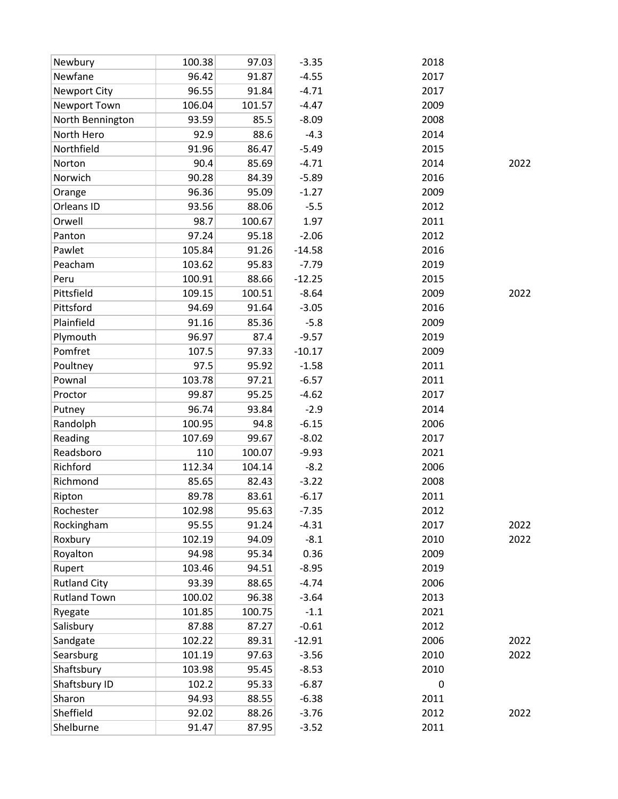| Newbury             | 100.38 | 97.03  | $-3.35$  | 2018 |      |
|---------------------|--------|--------|----------|------|------|
| Newfane             | 96.42  | 91.87  | $-4.55$  | 2017 |      |
| <b>Newport City</b> | 96.55  | 91.84  | $-4.71$  | 2017 |      |
| Newport Town        | 106.04 | 101.57 | $-4.47$  | 2009 |      |
| North Bennington    | 93.59  | 85.5   | $-8.09$  | 2008 |      |
| North Hero          | 92.9   | 88.6   | $-4.3$   | 2014 |      |
| Northfield          | 91.96  | 86.47  | $-5.49$  | 2015 |      |
| Norton              | 90.4   | 85.69  | $-4.71$  | 2014 | 2022 |
| Norwich             | 90.28  | 84.39  | $-5.89$  | 2016 |      |
| Orange              | 96.36  | 95.09  | $-1.27$  | 2009 |      |
| Orleans ID          | 93.56  | 88.06  | $-5.5$   | 2012 |      |
| Orwell              | 98.7   | 100.67 | 1.97     | 2011 |      |
| Panton              | 97.24  | 95.18  | $-2.06$  | 2012 |      |
| Pawlet              | 105.84 | 91.26  | $-14.58$ | 2016 |      |
| Peacham             | 103.62 | 95.83  | $-7.79$  | 2019 |      |
| Peru                | 100.91 | 88.66  | $-12.25$ | 2015 |      |
| Pittsfield          | 109.15 | 100.51 | $-8.64$  | 2009 | 2022 |
| Pittsford           | 94.69  | 91.64  | $-3.05$  | 2016 |      |
| Plainfield          | 91.16  | 85.36  | $-5.8$   | 2009 |      |
| Plymouth            | 96.97  | 87.4   | $-9.57$  | 2019 |      |
| Pomfret             | 107.5  | 97.33  | $-10.17$ | 2009 |      |
| Poultney            | 97.5   | 95.92  | $-1.58$  | 2011 |      |
| Pownal              | 103.78 | 97.21  | $-6.57$  | 2011 |      |
| Proctor             | 99.87  | 95.25  | $-4.62$  | 2017 |      |
| Putney              | 96.74  | 93.84  | $-2.9$   | 2014 |      |
| Randolph            | 100.95 | 94.8   | $-6.15$  | 2006 |      |
| Reading             | 107.69 | 99.67  | $-8.02$  | 2017 |      |
| Readsboro           | 110    | 100.07 | $-9.93$  | 2021 |      |
| Richford            | 112.34 | 104.14 | $-8.2$   | 2006 |      |
| Richmond            | 85.65  | 82.43  | $-3.22$  | 2008 |      |
| Ripton              | 89.78  | 83.61  | $-6.17$  | 2011 |      |
| Rochester           | 102.98 | 95.63  | $-7.35$  | 2012 |      |
| Rockingham          | 95.55  | 91.24  | $-4.31$  | 2017 | 2022 |
| Roxbury             | 102.19 | 94.09  | $-8.1$   | 2010 | 2022 |
| Royalton            | 94.98  | 95.34  | 0.36     | 2009 |      |
| Rupert              | 103.46 | 94.51  | $-8.95$  | 2019 |      |
| <b>Rutland City</b> | 93.39  | 88.65  | $-4.74$  | 2006 |      |
| <b>Rutland Town</b> | 100.02 | 96.38  | $-3.64$  | 2013 |      |
| Ryegate             | 101.85 | 100.75 | $-1.1$   | 2021 |      |
| Salisbury           | 87.88  | 87.27  | $-0.61$  | 2012 |      |
| Sandgate            | 102.22 | 89.31  | $-12.91$ | 2006 | 2022 |
| Searsburg           | 101.19 | 97.63  | $-3.56$  | 2010 | 2022 |
| Shaftsbury          | 103.98 | 95.45  | $-8.53$  | 2010 |      |
| Shaftsbury ID       | 102.2  | 95.33  | $-6.87$  | 0    |      |
| Sharon              | 94.93  | 88.55  | $-6.38$  | 2011 |      |
| Sheffield           | 92.02  | 88.26  | $-3.76$  | 2012 | 2022 |
| Shelburne           | 91.47  | 87.95  | $-3.52$  | 2011 |      |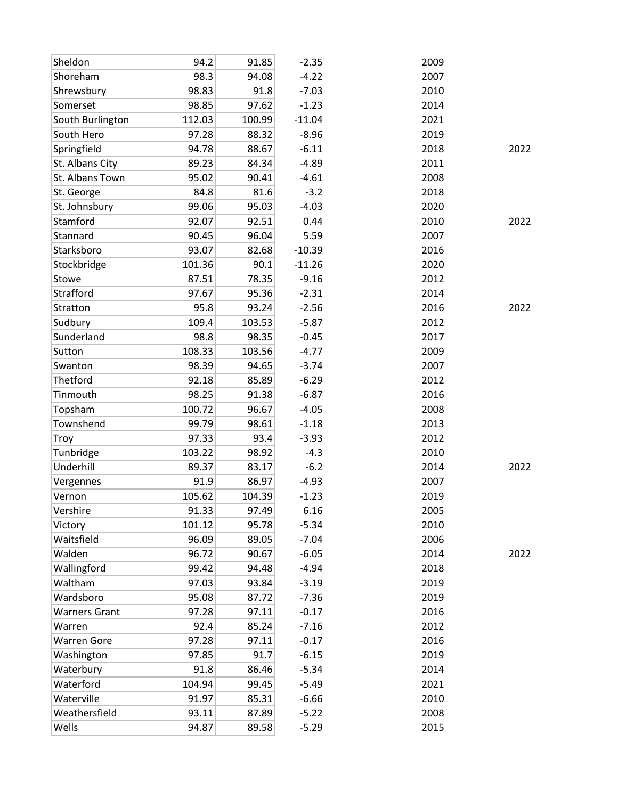| Sheldon              | 94.2   | 91.85  | $-2.35$  | 2009 |      |
|----------------------|--------|--------|----------|------|------|
| Shoreham             | 98.3   | 94.08  | $-4.22$  | 2007 |      |
| Shrewsbury           | 98.83  | 91.8   | $-7.03$  | 2010 |      |
| Somerset             | 98.85  | 97.62  | $-1.23$  | 2014 |      |
| South Burlington     | 112.03 | 100.99 | $-11.04$ | 2021 |      |
| South Hero           | 97.28  | 88.32  | $-8.96$  | 2019 |      |
| Springfield          | 94.78  | 88.67  | $-6.11$  | 2018 | 2022 |
| St. Albans City      | 89.23  | 84.34  | $-4.89$  | 2011 |      |
| St. Albans Town      | 95.02  | 90.41  | $-4.61$  | 2008 |      |
| St. George           | 84.8   | 81.6   | $-3.2$   | 2018 |      |
| St. Johnsbury        | 99.06  | 95.03  | $-4.03$  | 2020 |      |
| Stamford             | 92.07  | 92.51  | 0.44     | 2010 | 2022 |
| Stannard             | 90.45  | 96.04  | 5.59     | 2007 |      |
| Starksboro           | 93.07  | 82.68  | $-10.39$ | 2016 |      |
| Stockbridge          | 101.36 | 90.1   | $-11.26$ | 2020 |      |
| Stowe                | 87.51  | 78.35  | $-9.16$  | 2012 |      |
| Strafford            | 97.67  | 95.36  | $-2.31$  | 2014 |      |
| Stratton             | 95.8   | 93.24  | $-2.56$  | 2016 | 2022 |
| Sudbury              | 109.4  | 103.53 | $-5.87$  | 2012 |      |
| Sunderland           | 98.8   | 98.35  | $-0.45$  | 2017 |      |
| Sutton               | 108.33 | 103.56 | $-4.77$  | 2009 |      |
| Swanton              | 98.39  | 94.65  | $-3.74$  | 2007 |      |
| Thetford             | 92.18  | 85.89  | $-6.29$  | 2012 |      |
| Tinmouth             | 98.25  | 91.38  | $-6.87$  | 2016 |      |
| Topsham              | 100.72 | 96.67  | $-4.05$  | 2008 |      |
| Townshend            | 99.79  | 98.61  | $-1.18$  | 2013 |      |
| Troy                 | 97.33  | 93.4   | $-3.93$  | 2012 |      |
| Tunbridge            | 103.22 | 98.92  | $-4.3$   | 2010 |      |
| Underhill            | 89.37  | 83.17  | $-6.2$   | 2014 | 2022 |
| Vergennes            | 91.9   | 86.97  | $-4.93$  | 2007 |      |
| Vernon               | 105.62 | 104.39 | $-1.23$  | 2019 |      |
| Vershire             | 91.33  | 97.49  | 6.16     | 2005 |      |
| Victory              | 101.12 | 95.78  | $-5.34$  | 2010 |      |
| Waitsfield           | 96.09  | 89.05  | $-7.04$  | 2006 |      |
| Walden               | 96.72  | 90.67  | $-6.05$  | 2014 | 2022 |
| Wallingford          | 99.42  | 94.48  | $-4.94$  | 2018 |      |
| Waltham              | 97.03  | 93.84  | $-3.19$  | 2019 |      |
| Wardsboro            | 95.08  | 87.72  | $-7.36$  | 2019 |      |
| <b>Warners Grant</b> | 97.28  | 97.11  | $-0.17$  | 2016 |      |
| Warren               | 92.4   | 85.24  | $-7.16$  | 2012 |      |
| <b>Warren Gore</b>   | 97.28  | 97.11  | $-0.17$  | 2016 |      |
| Washington           | 97.85  | 91.7   | $-6.15$  | 2019 |      |
| Waterbury            | 91.8   | 86.46  | $-5.34$  | 2014 |      |
| Waterford            | 104.94 | 99.45  | $-5.49$  | 2021 |      |
| Waterville           | 91.97  | 85.31  | $-6.66$  | 2010 |      |
| Weathersfield        | 93.11  | 87.89  | $-5.22$  | 2008 |      |
| Wells                | 94.87  | 89.58  | $-5.29$  | 2015 |      |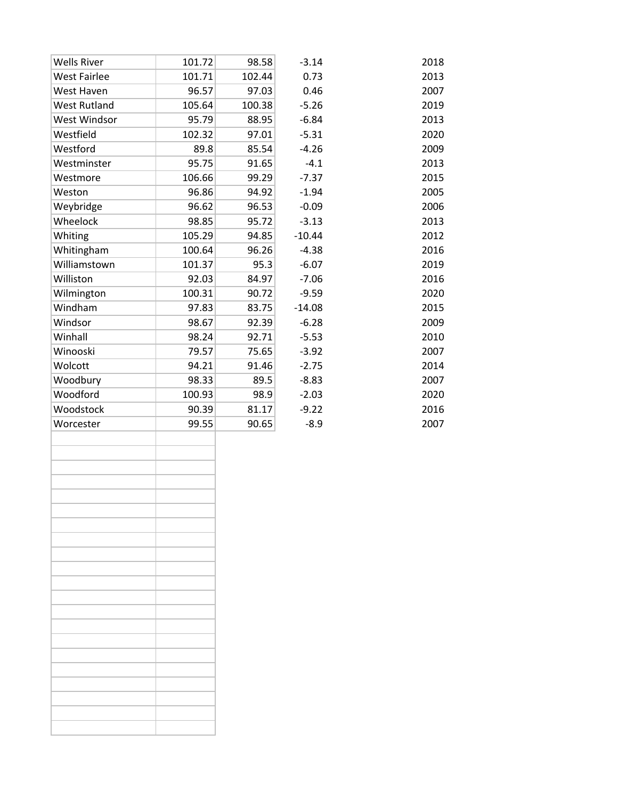| <b>Wells River</b>  | 101.72 | 98.58  | $-3.14$  | 2018 |
|---------------------|--------|--------|----------|------|
| <b>West Fairlee</b> | 101.71 | 102.44 | 0.73     | 2013 |
| West Haven          | 96.57  | 97.03  | 0.46     | 2007 |
| <b>West Rutland</b> | 105.64 | 100.38 | $-5.26$  | 2019 |
| West Windsor        | 95.79  | 88.95  | $-6.84$  | 2013 |
| Westfield           | 102.32 | 97.01  | $-5.31$  | 2020 |
| Westford            | 89.8   | 85.54  | $-4.26$  | 2009 |
| Westminster         | 95.75  | 91.65  | $-4.1$   | 2013 |
| Westmore            | 106.66 | 99.29  | $-7.37$  | 2015 |
| Weston              | 96.86  | 94.92  | $-1.94$  | 2005 |
| Weybridge           | 96.62  | 96.53  | $-0.09$  | 2006 |
| Wheelock            | 98.85  | 95.72  | $-3.13$  | 2013 |
| Whiting             | 105.29 | 94.85  | $-10.44$ | 2012 |
| Whitingham          | 100.64 | 96.26  | $-4.38$  | 2016 |
| Williamstown        | 101.37 | 95.3   | $-6.07$  | 2019 |
| Williston           | 92.03  | 84.97  | $-7.06$  | 2016 |
| Wilmington          | 100.31 | 90.72  | $-9.59$  | 2020 |
| Windham             | 97.83  | 83.75  | $-14.08$ | 2015 |
| Windsor             | 98.67  | 92.39  | $-6.28$  | 2009 |
| Winhall             | 98.24  | 92.71  | $-5.53$  | 2010 |
| Winooski            | 79.57  | 75.65  | $-3.92$  | 2007 |
| Wolcott             | 94.21  | 91.46  | $-2.75$  | 2014 |
| Woodbury            | 98.33  | 89.5   | $-8.83$  | 2007 |
| Woodford            | 100.93 | 98.9   | $-2.03$  | 2020 |
| Woodstock           | 90.39  | 81.17  | $-9.22$  | 2016 |
| Worcester           | 99.55  | 90.65  | $-8.9$   | 2007 |
|                     |        |        |          |      |
|                     |        |        |          |      |
|                     |        |        |          |      |
|                     |        |        |          |      |